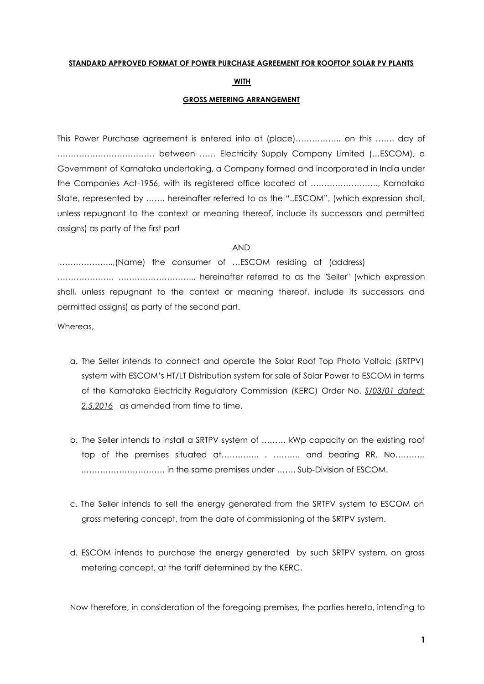#### **STANDARD APPROVED FORMAT OF POWER PURCHASE AGREEMENT FOR ROOFTOP SOLAR PV PLANTS**

#### **WITH**

#### **GROSS METERING ARRANGEMENT**

This Power Purchase agreement is entered into at (place)…………….. on this ……. day of ……………………………… between …… Electricity Supply Company Limited (…ESCOM), a Government of Karnataka undertaking, a Company formed and incorporated in India under the Companies Act-1956, with its registered office located at ……………………., Karnataka State, represented by ……. hereinafter referred to as the "..ESCOM", (which expression shall, unless repugnant to the context or meaning thereof, include its successors and permitted assigns) as party of the first part

#### AND

………………..,(Name) the consumer of …ESCOM residing at (address) ………………… ………………………., hereinafter referred to as the "Seller" (which expression shall, unless repugnant to the context or meaning thereof, include its successors and permitted assigns) as party of the second part.

Whereas,

- a. The Seller intends to connect and operate the Solar Roof Top Photo Voltaic (SRTPV) system with ESCOM's HT/LT Distribution system for sale of Solar Power to ESCOM in terms of the Karnataka Electricity Regulatory Commission (KERC) Order No. *S/03/01 dated:*  2.5.2016 as amended from time to time.
- b. The Seller intends to install a SRTPV system of ……… kWp capacity on the existing roof top of the premises situated at…………... . ……….. and bearing RR. No……….. .………………………… in the same premises under ……. Sub-Division of ESCOM.
- c. The Seller intends to sell the energy generated from the SRTPV system to ESCOM on gross metering concept, from the date of commissioning of the SRTPV system.
- d. ESCOM intends to purchase the energy generated by such SRTPV system, on gross metering concept, at the tariff determined by the KERC.

Now therefore, in consideration of the foregoing premises, the parties hereto, intending to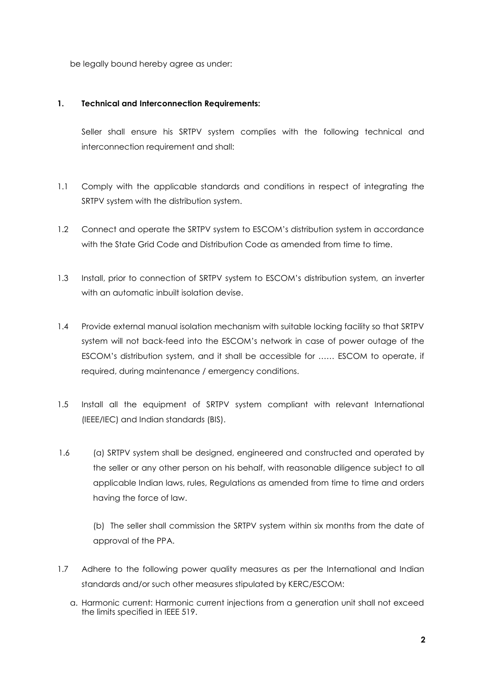be legally bound hereby agree as under:

#### **1. Technical and Interconnection Requirements:**

Seller shall ensure his SRTPV system complies with the following technical and interconnection requirement and shall:

- 1.1 Comply with the applicable standards and conditions in respect of integrating the SRTPV system with the distribution system.
- 1.2 Connect and operate the SRTPV system to ESCOM's distribution system in accordance with the State Grid Code and Distribution Code as amended from time to time.
- 1.3 Install, prior to connection of SRTPV system to ESCOM's distribution system, an inverter with an automatic inbuilt isolation devise.
- 1.4 Provide external manual isolation mechanism with suitable locking facility so that SRTPV system will not back-feed into the ESCOM's network in case of power outage of the ESCOM's distribution system, and it shall be accessible for …… ESCOM to operate, if required, during maintenance / emergency conditions.
- 1.5 Install all the equipment of SRTPV system compliant with relevant International (IEEE/IEC) and Indian standards (BIS).
- 1.6 (a) SRTPV system shall be designed, engineered and constructed and operated by the seller or any other person on his behalf, with reasonable diligence subject to all applicable Indian laws, rules, Regulations as amended from time to time and orders having the force of law.

(b) The seller shall commission the SRTPV system within six months from the date of approval of the PPA.

- 1.7 Adhere to the following power quality measures as per the International and Indian standards and/or such other measures stipulated by KERC/ESCOM:
	- a. Harmonic current: Harmonic current injections from a generation unit shall not exceed the limits specified in IEEE 519.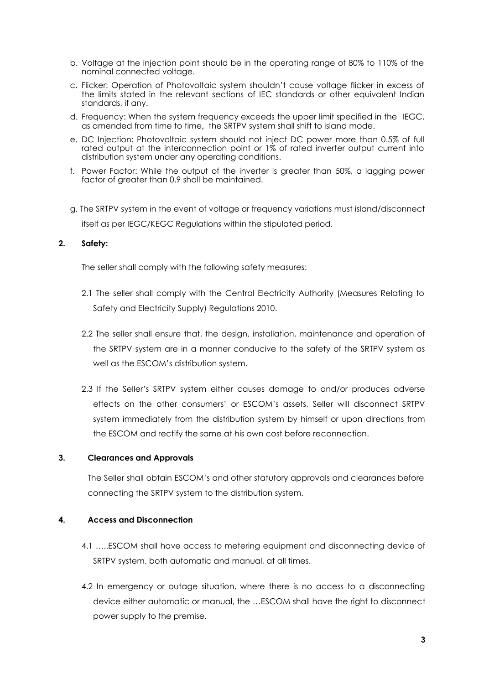- b. Voltage at the injection point should be in the operating range of 80% to 110% of the nominal connected voltage.
- c. Flicker: Operation of Photovoltaic system shouldn't cause voltage flicker in excess of the limits stated in the relevant sections of IEC standards or other equivalent Indian standards, if any.
- d. Frequency: When the system frequency exceeds the upper limit specified in the IEGC, as amended from time to time**,** the SRTPV system shall shift to island mode.
- e. DC Injection: Photovoltaic system should not inject DC power more than 0.5% of full rated output at the interconnection point or 1% of rated inverter output current into distribution system under any operating conditions.
- f. Power Factor: While the output of the inverter is greater than 50%, a lagging power factor of greater than 0.9 shall be maintained.
- g. The SRTPV system in the event of voltage or frequency variations must island/disconnect itself as per IEGC/KEGC Regulations within the stipulated period.

### **2. Safety:**

The seller shall comply with the following safety measures:

- 2.1 The seller shall comply with the Central Electricity Authority (Measures Relating to Safety and Electricity Supply) Regulations 2010.
- 2.2 The seller shall ensure that, the design, installation, maintenance and operation of the SRTPV system are in a manner conducive to the safety of the SRTPV system as well as the ESCOM's distribution system.
- 2.3 If the Seller's SRTPV system either causes damage to and/or produces adverse effects on the other consumers' or ESCOM's assets, Seller will disconnect SRTPV system immediately from the distribution system by himself or upon directions from the ESCOM and rectify the same at his own cost before reconnection.

#### **3. Clearances and Approvals**

The Seller shall obtain ESCOM's and other statutory approvals and clearances before connecting the SRTPV system to the distribution system.

## **4. Access and Disconnection**

- 4.1 …..ESCOM shall have access to metering equipment and disconnecting device of SRTPV system, both automatic and manual, at all times.
- 4.2 In emergency or outage situation, where there is no access to a disconnecting device either automatic or manual, the …ESCOM shall have the right to disconnect power supply to the premise.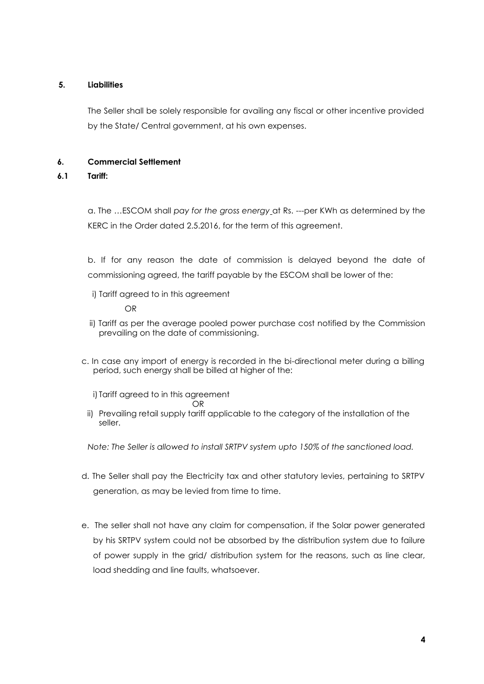# **5. Liabilities**

The Seller shall be solely responsible for availing any fiscal or other incentive provided by the State/ Central government, at his own expenses.

# **6. Commercial Settlement**

# **6.1 Tariff:**

a. The …ESCOM shall *pay for the gross energy* at Rs. ---per KWh as determined by the KERC in the Order dated 2.5.2016, for the term of this agreement.

b. If for any reason the date of commission is delayed beyond the date of commissioning agreed, the tariff payable by the ESCOM shall be lower of the:

i) Tariff agreed to in this agreement

### OR

- ii) Tariff as per the average pooled power purchase cost notified by the Commission prevailing on the date of commissioning.
- c. In case any import of energy is recorded in the bi-directional meter during a billing period, such energy shall be billed at higher of the:
	- i) Tariff agreed to in this agreement
	- **ORIGINAL CORPORATION**
	- ii) Prevailing retail supply tariff applicable to the category of the installation of the seller.

*Note: The Seller is allowed to install SRTPV system upto 150% of the sanctioned load.*

- d. The Seller shall pay the Electricity tax and other statutory levies, pertaining to SRTPV generation, as may be levied from time to time.
- e. The seller shall not have any claim for compensation, if the Solar power generated by his SRTPV system could not be absorbed by the distribution system due to failure of power supply in the grid/ distribution system for the reasons, such as line clear, load shedding and line faults, whatsoever.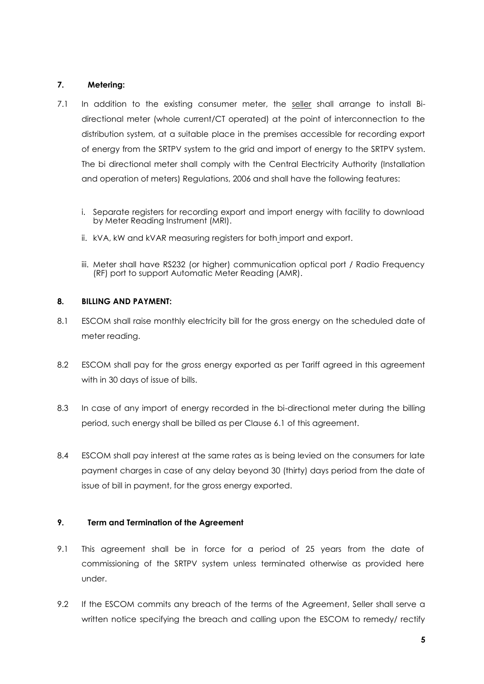# **7. Metering:**

- 7.1 In addition to the existing consumer meter, the seller shall arrange to install Bidirectional meter (whole current/CT operated) at the point of interconnection to the distribution system, at a suitable place in the premises accessible for recording export of energy from the SRTPV system to the grid and import of energy to the SRTPV system. The bi directional meter shall comply with the Central Electricity Authority (Installation and operation of meters) Regulations, 2006 and shall have the following features:
	- i. Separate registers for recording export and import energy with facility to download by Meter Reading Instrument (MRI).
	- ii. kVA, kW and kVAR measuring registers for both import and export.
	- iii. Meter shall have RS232 (or higher) communication optical port / Radio Frequency (RF) port to support Automatic Meter Reading (AMR).

### **8. BILLING AND PAYMENT:**

- 8.1 ESCOM shall raise monthly electricity bill for the gross energy on the scheduled date of meter reading.
- 8.2 ESCOM shall pay for the *gross* energy exported as per Tariff agreed in this agreement with in 30 days of issue of bills.
- 8.3 In case of any import of energy recorded in the bi-directional meter during the billing period, such energy shall be billed as per Clause 6.1 of this agreement.
- 8.4 ESCOM shall pay interest at the same rates as is being levied on the consumers for late payment charges in case of any delay beyond 30 (thirty) days period from the date of issue of bill in payment, for the gross energy exported.

## **9. Term and Termination of the Agreement**

- 9.1 This agreement shall be in force for a period of 25 years from the date of commissioning of the SRTPV system unless terminated otherwise as provided here under.
- 9.2 If the ESCOM commits any breach of the terms of the Agreement, Seller shall serve a written notice specifying the breach and calling upon the ESCOM to remedy/ rectify